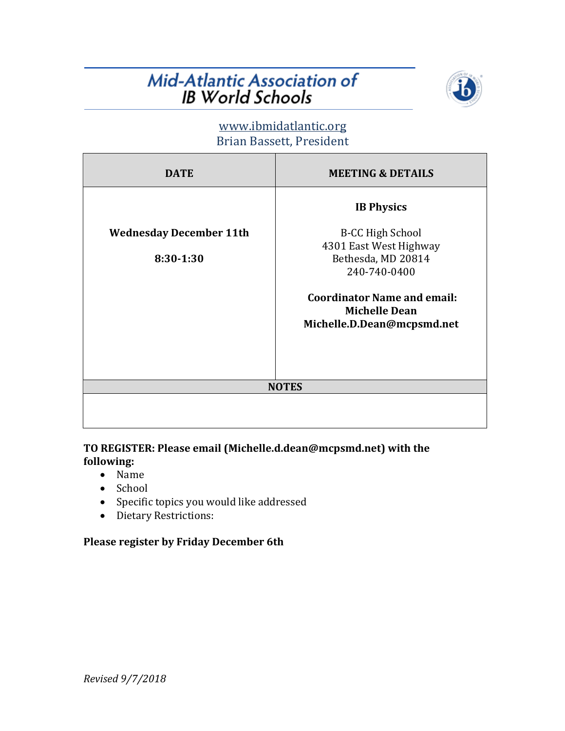# Mid-Atlantic Association of **IB World Schools**



## www.ibmidatlantic.org Brian Bassett, President

| <b>DATE</b>                    | <b>MEETING &amp; DETAILS</b>                                                             |
|--------------------------------|------------------------------------------------------------------------------------------|
|                                | <b>IB Physics</b>                                                                        |
| <b>Wednesday December 11th</b> | <b>B-CC High School</b><br>4301 East West Highway                                        |
| 8:30-1:30                      | Bethesda, MD 20814<br>240-740-0400                                                       |
|                                | <b>Coordinator Name and email:</b><br><b>Michelle Dean</b><br>Michelle.D.Dean@mcpsmd.net |
|                                | <b>NOTES</b>                                                                             |
|                                |                                                                                          |

### TO REGISTER: Please email (Michelle.d.dean@mcpsmd.net) with the **following:**

- Name
- School
- Specific topics you would like addressed
- Dietary Restrictions:

#### **Please register by Friday December 6th**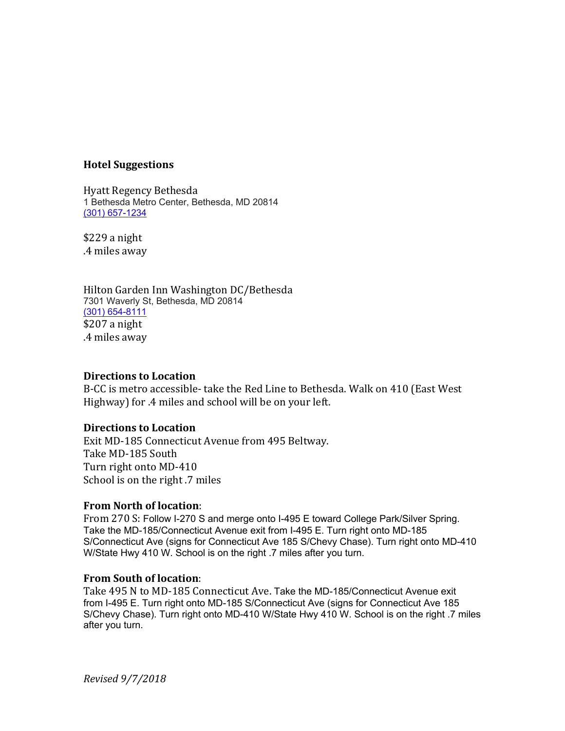#### **Hotel Suggestions**

Hyatt Regency Bethesda 1 Bethesda Metro Center, Bethesda, MD 20814 (301) 657-1234

\$229 a night .4 miles away

Hilton Garden Inn Washington DC/Bethesda 7301 Waverly St, Bethesda, MD 20814 (301) 654-8111 \$207 a night .4 miles away

#### **Directions** to Location

B-CC is metro accessible- take the Red Line to Bethesda. Walk on 410 (East West Highway) for .4 miles and school will be on your left.

#### **Directions to Location**

Exit MD-185 Connecticut Avenue from 495 Beltway. Take MD-185 South Turn right onto MD-410 School is on the right .7 miles

#### **From North of location:**

From 270 S: Follow I-270 S and merge onto I-495 E toward College Park/Silver Spring. Take the MD-185/Connecticut Avenue exit from I-495 E. Turn right onto MD-185 S/Connecticut Ave (signs for Connecticut Ave 185 S/Chevy Chase). Turn right onto MD-410 W/State Hwy 410 W. School is on the right .7 miles after you turn.

#### **From South of location**:

Take 495 N to MD-185 Connecticut Ave. Take the MD-185/Connecticut Avenue exit from I-495 E. Turn right onto MD-185 S/Connecticut Ave (signs for Connecticut Ave 185 S/Chevy Chase). Turn right onto MD-410 W/State Hwy 410 W. School is on the right .7 miles after you turn.